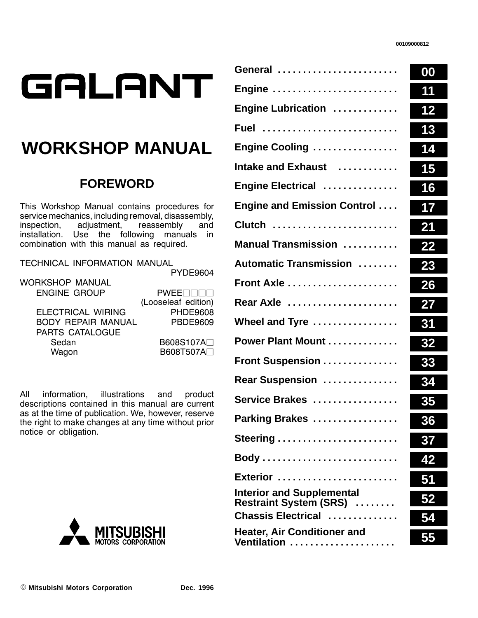| GALANT |
|--------|
|        |

## **WORKSHOP MANUAL**

## **FOREWORD**

This Workshop Manual contains procedures for service mechanics, including removal, disassembly,<br>inspection, adjustment, reassembly and adjustment, installation. Use the following manuals in combination with this manual as required.

TECHNICAL INFORMATION MANUAL

PYDE9604

| WORKSHOP MANUAL           |                          |
|---------------------------|--------------------------|
| <b>ENGINE GROUP</b>       | <b>PWEE</b>              |
|                           | (Looseleaf edition)      |
| <b>ELECTRICAL WIRING</b>  | <b>PHDE9608</b>          |
| <b>BODY REPAIR MANUAL</b> | <b>PBDE9609</b>          |
| PARTS CATALOGUE           |                          |
| Sedan                     | B608S107A <sup>[1]</sup> |
| Wagon                     | B608T507A <sub>[1</sub>  |
|                           |                          |

All information, illustrations and product descriptions contained in this manual are current as at the time of publication. We, however, reserve the right to make changes at any time without prior notice or obligation.



| General                                                            | 00        |
|--------------------------------------------------------------------|-----------|
| Engine                                                             | 11        |
| Engine Lubrication                                                 | 12        |
| Fuel                                                               | 13        |
| Engine Cooling                                                     | 14        |
| Intake and Exhaust                                                 | 15        |
| Engine Electrical                                                  | 16        |
| <b>Engine and Emission Control</b>                                 | 17        |
| Clutch                                                             | 21        |
| <b>Manual Transmission </b>                                        | 22        |
| <b>Automatic Transmission </b>                                     | 23        |
| <b>Front Axle </b>                                                 | 26        |
| Rear Axle                                                          | 27        |
| Wheel and Tyre $\dots\dots\dots\dots\dots$                         | 31        |
| Power Plant Mount                                                  | 32        |
| Front Suspension                                                   | 33        |
| Rear Suspension                                                    | 34        |
| Service Brakes                                                     | 35        |
| Parking Brakes                                                     | 36        |
|                                                                    | 37        |
|                                                                    | 42        |
| Exterior                                                           |           |
| <b>Interior and Supplemental</b><br><b>Restraint System (SRS) </b> | <u>52</u> |
| Chassis Electrical                                                 |           |
| <b>Heater, Air Conditioner and</b><br>Ventilation                  | 55        |
|                                                                    |           |